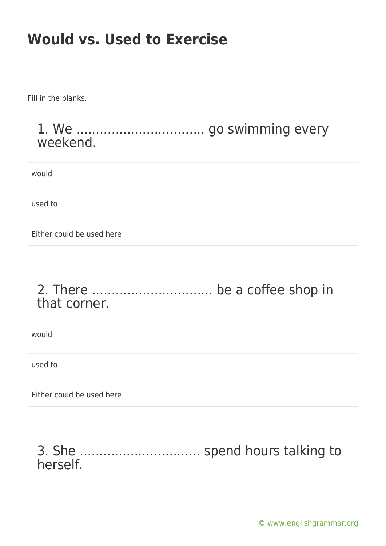Fill in the blanks.

#### 1. We ................................. go swimming every weekend.

would

used to

Either could be used here

# 2. There ............................... be a coffee shop in that corner.

would

used to

Either could be used here

# 3. She ............................... spend hours talking to herself.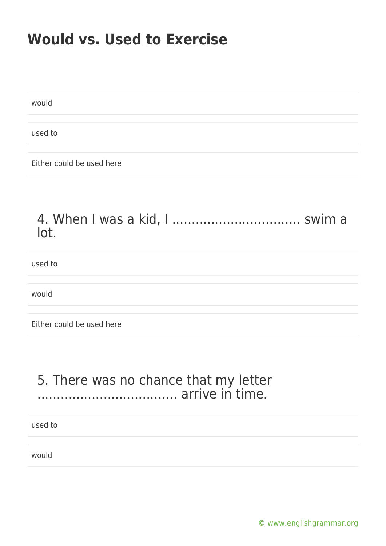would

used to

Either could be used here

#### 4. When I was a kid, I ................................. swim a lot.

used to

would

Either could be used here

# 5. There was no chance that my letter .................................... arrive in time.

used to

would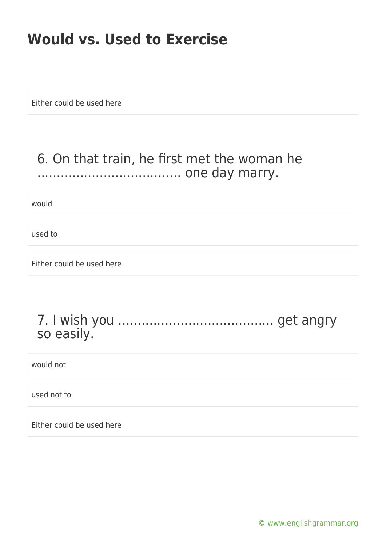Either could be used here

## 6. On that train, he first met the woman he ..................................... one day marry.

would

used to

Either could be used here

#### 7. I wish you ........................................ get angry so easily.

would not

used not to

Either could be used here

[© www.englishgrammar.org](https://www.englishgrammar.org/)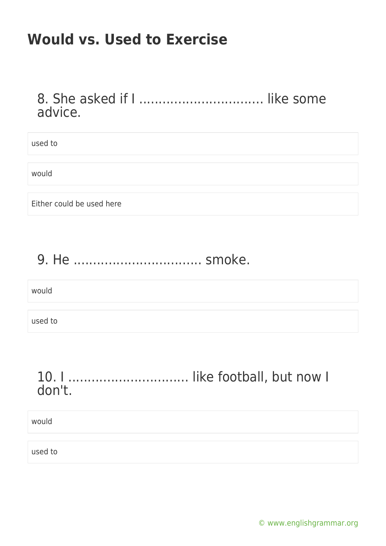#### 8. She asked if I ................................ like some advice.

used to

would

Either could be used here

# 9. He ................................. smoke.

would

used to

# 10. I ............................... like football, but now I don't.

would

used to

[© www.englishgrammar.org](https://www.englishgrammar.org/)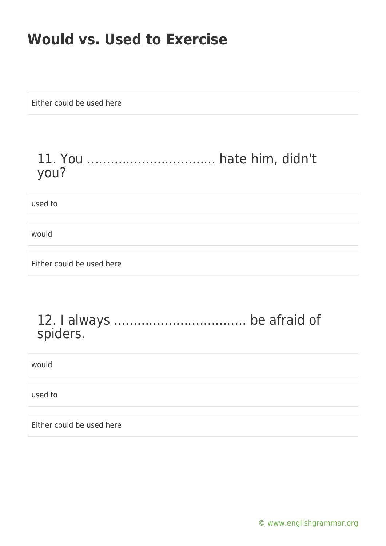Either could be used here

# 11. You ................................. hate him, didn't you?

used to

would

Either could be used here

#### 12. I always .................................. be afraid of spiders.

would

used to

Either could be used here

[© www.englishgrammar.org](https://www.englishgrammar.org/)